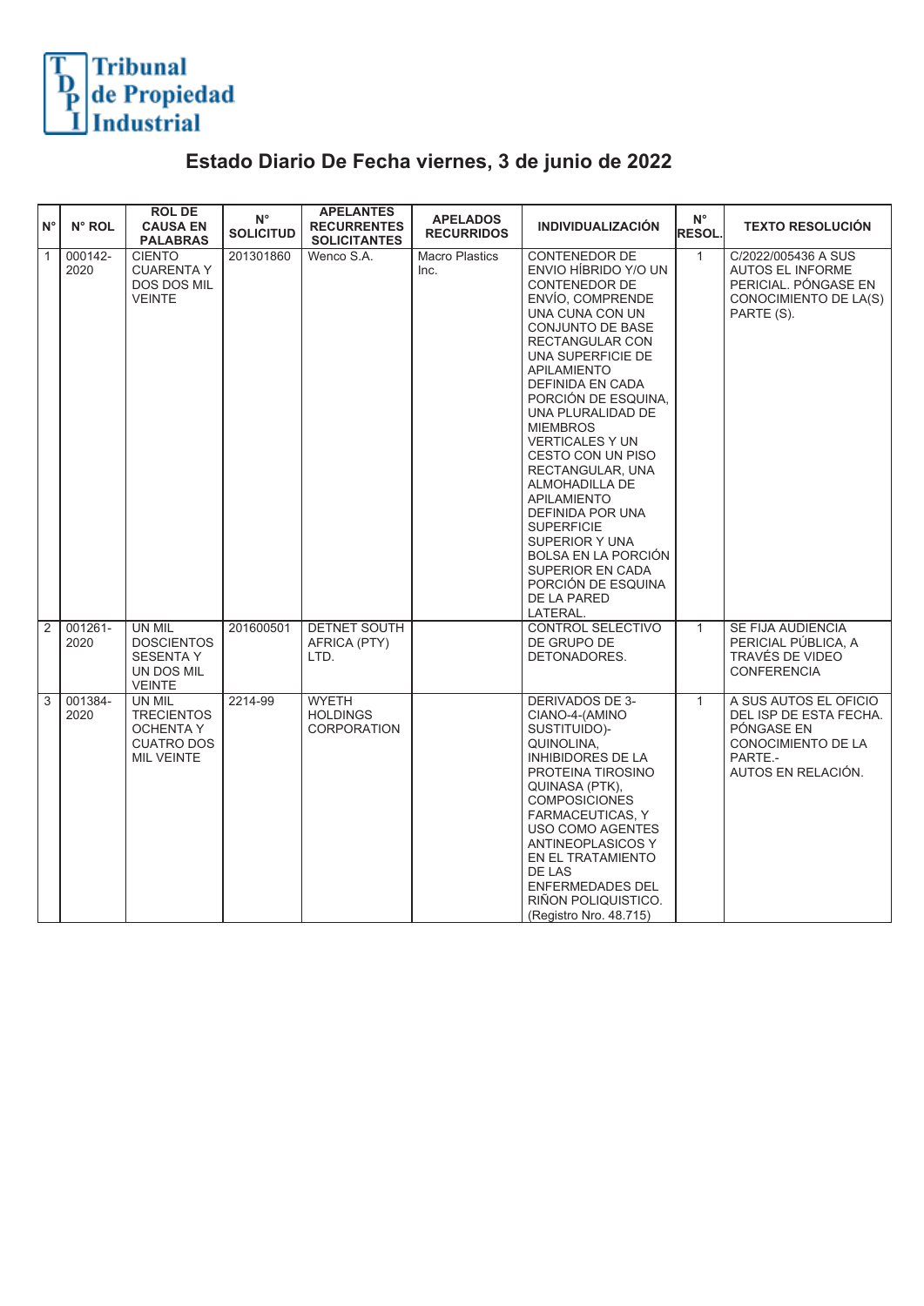

## **Estado Diario De Fecha viernes, 3 de junio de 2022**

| $N^{\circ}$    | N° ROL          | <b>ROLDE</b><br><b>CAUSA EN</b><br><b>PALABRAS</b>                                        | $N^{\circ}$<br><b>SOLICITUD</b> | <b>APELANTES</b><br><b>RECURRENTES</b><br><b>SOLICITANTES</b> | <b>APELADOS</b><br><b>RECURRIDOS</b> | <b>INDIVIDUALIZACIÓN</b>                                                                                                                                                                                                                                                                                                                                                                                                                                                                                                                                         | $N^{\circ}$<br><b>RESOL.</b> | <b>TEXTO RESOLUCIÓN</b>                                                                                              |
|----------------|-----------------|-------------------------------------------------------------------------------------------|---------------------------------|---------------------------------------------------------------|--------------------------------------|------------------------------------------------------------------------------------------------------------------------------------------------------------------------------------------------------------------------------------------------------------------------------------------------------------------------------------------------------------------------------------------------------------------------------------------------------------------------------------------------------------------------------------------------------------------|------------------------------|----------------------------------------------------------------------------------------------------------------------|
| $\overline{1}$ | 000142-<br>2020 | <b>CIENTO</b><br><b>CUARENTA Y</b><br>DOS DOS MIL<br><b>VEINTE</b>                        | 201301860                       | Wenco S.A.                                                    | <b>Macro Plastics</b><br>Inc.        | <b>CONTENEDOR DE</b><br>ENVIO HÍBRIDO Y/O UN<br>CONTENEDOR DE<br>ENVÍO, COMPRENDE<br>UNA CUNA CON UN<br><b>CONJUNTO DE BASE</b><br><b>RECTANGULAR CON</b><br>UNA SUPERFICIE DE<br><b>APILAMIENTO</b><br><b>DEFINIDA EN CADA</b><br>PORCIÓN DE ESQUINA,<br>UNA PLURALIDAD DE<br><b>MIEMBROS</b><br><b>VERTICALES Y UN</b><br>CESTO CON UN PISO<br>RECTANGULAR, UNA<br>ALMOHADILLA DE<br><b>APILAMIENTO</b><br>DEFINIDA POR UNA<br><b>SUPERFICIE</b><br>SUPERIOR Y UNA<br>BOLSA EN LA PORCIÓN<br>SUPERIOR EN CADA<br>PORCIÓN DE ESQUINA<br>DE LA PARED<br>LATERAL. | $\mathbf{1}$                 | C/2022/005436 A SUS<br><b>AUTOS EL INFORME</b><br>PERICIAL. PÓNGASE EN<br>CONOCIMIENTO DE LA(S)<br>PARTE (S).        |
| 2              | 001261-<br>2020 | UN MIL<br><b>DOSCIENTOS</b><br><b>SESENTA Y</b><br>UN DOS MIL<br><b>VEINTE</b>            | 201600501                       | <b>DETNET SOUTH</b><br>AFRICA (PTY)<br>LTD.                   |                                      | CONTROL SELECTIVO<br>DE GRUPO DE<br>DETONADORES.                                                                                                                                                                                                                                                                                                                                                                                                                                                                                                                 | $\mathbf{1}$                 | SE FIJA AUDIENCIA<br>PERICIAL PÚBLICA, A<br>TRAVÉS DE VIDEO<br><b>CONFERENCIA</b>                                    |
| 3              | 001384-<br>2020 | UN MIL<br><b>TRECIENTOS</b><br><b>OCHENTA Y</b><br><b>CUATRO DOS</b><br><b>MIL VEINTE</b> | 2214-99                         | <b>WYETH</b><br><b>HOLDINGS</b><br><b>CORPORATION</b>         |                                      | <b>DERIVADOS DE 3-</b><br>CIANO-4-(AMINO<br>SUSTITUIDO)-<br>QUINOLINA,<br><b>INHIBIDORES DE LA</b><br>PROTEINA TIROSINO<br>QUINASA (PTK),<br><b>COMPOSICIONES</b><br>FARMACEUTICAS, Y<br>USO COMO AGENTES<br><b>ANTINEOPLASICOS Y</b><br>EN EL TRATAMIENTO<br><b>DE LAS</b><br>ENFERMEDADES DEL<br>RIÑON POLIQUISTICO.<br>(Registro Nro. 48.715)                                                                                                                                                                                                                 | $\mathbf{1}$                 | A SUS AUTOS EL OFICIO<br>DEL ISP DE ESTA FECHA.<br>PÓNGASE EN<br>CONOCIMIENTO DE LA<br>PARTE.-<br>AUTOS EN RELACIÓN. |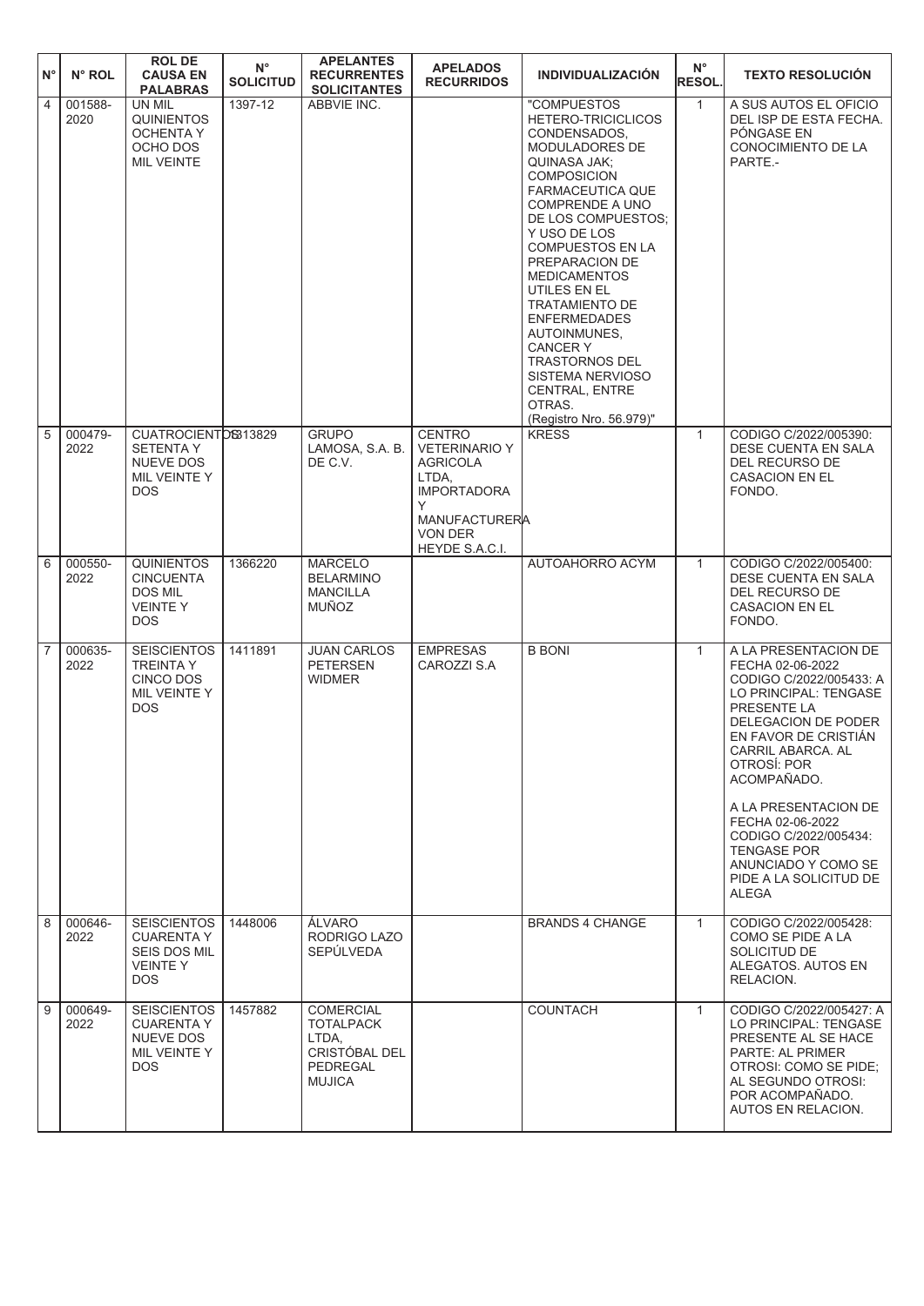| $N^{\circ}$    | N° ROL          | <b>ROLDE</b><br><b>CAUSA EN</b><br><b>PALABRAS</b>                                             | $\mathsf{N}^\circ$<br><b>SOLICITUD</b> | <b>APELANTES</b><br><b>RECURRENTES</b><br><b>SOLICITANTES</b>                               | <b>APELADOS</b><br><b>RECURRIDOS</b>                                                                                                                     | <b>INDIVIDUALIZACIÓN</b>                                                                                                                                                                                                                                                                                                                                                                                                                                                                     | $N^{\circ}$<br><b>RESOL.</b> | <b>TEXTO RESOLUCIÓN</b>                                                                                                                                                                                                                                                                                                                                            |
|----------------|-----------------|------------------------------------------------------------------------------------------------|----------------------------------------|---------------------------------------------------------------------------------------------|----------------------------------------------------------------------------------------------------------------------------------------------------------|----------------------------------------------------------------------------------------------------------------------------------------------------------------------------------------------------------------------------------------------------------------------------------------------------------------------------------------------------------------------------------------------------------------------------------------------------------------------------------------------|------------------------------|--------------------------------------------------------------------------------------------------------------------------------------------------------------------------------------------------------------------------------------------------------------------------------------------------------------------------------------------------------------------|
| $\overline{4}$ | 001588-<br>2020 | UN MIL<br><b>QUINIENTOS</b><br>OCHENTA Y<br>OCHO DOS<br><b>MIL VEINTE</b>                      | 1397-12                                | ABBVIE INC.                                                                                 |                                                                                                                                                          | "COMPUESTOS<br>HETERO-TRICICLICOS<br>CONDENSADOS,<br>MODULADORES DE<br>QUINASA JAK;<br><b>COMPOSICION</b><br><b>FARMACEUTICA QUE</b><br><b>COMPRENDE A UNO</b><br>DE LOS COMPUESTOS;<br>Y USO DE LOS<br><b>COMPUESTOS EN LA</b><br>PREPARACION DE<br><b>MEDICAMENTOS</b><br>UTILES EN EL<br><b>TRATAMIENTO DE</b><br><b>ENFERMEDADES</b><br>AUTOINMUNES,<br><b>CANCERY</b><br><b>TRASTORNOS DEL</b><br><b>SISTEMA NERVIOSO</b><br><b>CENTRAL, ENTRE</b><br>OTRAS.<br>(Registro Nro. 56.979)" | $\mathbf{1}$                 | A SUS AUTOS EL OFICIO<br>DEL ISP DE ESTA FECHA.<br>PÓNGASE EN<br>CONOCIMIENTO DE LA<br>PARTE.-                                                                                                                                                                                                                                                                     |
| 5              | 000479-<br>2022 | CUATROCIENTOS313829<br><b>SETENTA Y</b><br>NUEVE DOS<br>MIL VEINTE Y<br><b>DOS</b>             |                                        | <b>GRUPO</b><br>LAMOSA, S.A. B.<br>DE C.V.                                                  | <b>CENTRO</b><br><b>VETERINARIO Y</b><br><b>AGRICOLA</b><br>LTDA,<br><b>IMPORTADORA</b><br>Y<br><b>MANUFACTURERA</b><br><b>VON DER</b><br>HEYDE S.A.C.I. | <b>KRESS</b>                                                                                                                                                                                                                                                                                                                                                                                                                                                                                 | $\mathbf{1}$                 | CODIGO C/2022/005390:<br>DESE CUENTA EN SALA<br>DEL RECURSO DE<br><b>CASACION EN EL</b><br>FONDO.                                                                                                                                                                                                                                                                  |
| 6              | 000550-<br>2022 | <b>QUINIENTOS</b><br><b>CINCUENTA</b><br><b>DOS MIL</b><br><b>VEINTEY</b><br><b>DOS</b>        | 1366220                                | <b>MARCELO</b><br><b>BELARMINO</b><br><b>MANCILLA</b><br><b>MUÑOZ</b>                       |                                                                                                                                                          | AUTOAHORRO ACYM                                                                                                                                                                                                                                                                                                                                                                                                                                                                              | $\mathbf{1}$                 | CODIGO C/2022/005400:<br>DESE CUENTA EN SALA<br>DEL RECURSO DE<br><b>CASACION EN EL</b><br>FONDO.                                                                                                                                                                                                                                                                  |
| 7              | 000635-<br>2022 | <b>SEISCIENTOS</b><br><b>TREINTA Y</b><br>CINCO DOS<br>MIL VEINTE Y<br><b>DOS</b>              | 1411891                                | <b>JUAN CARLOS</b><br><b>PETERSEN</b><br><b>WIDMER</b>                                      | <b>EMPRESAS</b><br>CAROZZI S.A                                                                                                                           | <b>B BONI</b>                                                                                                                                                                                                                                                                                                                                                                                                                                                                                | $\mathbf{1}$                 | A LA PRESENTACION DE<br>FECHA 02-06-2022<br>CODIGO C/2022/005433: A<br>LO PRINCIPAL: TENGASE<br>PRESENTE LA<br>DELEGACION DE PODER<br>EN FAVOR DE CRISTIAN<br>CARRIL ABARCA. AL<br>OTROSÍ: POR<br>ACOMPAÑADO.<br>A LA PRESENTACION DE<br>FECHA 02-06-2022<br>CODIGO C/2022/005434:<br><b>TENGASE POR</b><br>ANUNCIADO Y COMO SE<br>PIDE A LA SOLICITUD DE<br>ALEGA |
| $\overline{8}$ | 000646-<br>2022 | <b>SEISCIENTOS</b><br><b>CUARENTA Y</b><br><b>SEIS DOS MIL</b><br><b>VEINTEY</b><br><b>DOS</b> | 1448006                                | ÁLVARO<br>RODRIGO LAZO<br><b>SEPÜLVEDA</b>                                                  |                                                                                                                                                          | <b>BRANDS 4 CHANGE</b>                                                                                                                                                                                                                                                                                                                                                                                                                                                                       | $\mathbf{1}$                 | CODIGO C/2022/005428:<br>COMO SE PIDE A LA<br>SOLICITUD DE<br>ALEGATOS. AUTOS EN<br>RELACION.                                                                                                                                                                                                                                                                      |
| $\overline{9}$ | 000649-<br>2022 | <b>SEISCIENTOS</b><br><b>CUARENTA Y</b><br><b>NUEVE DOS</b><br>MIL VEINTE Y<br><b>DOS</b>      | 1457882                                | <b>COMERCIAL</b><br><b>TOTALPACK</b><br>LTDA,<br>CRISTÓBAL DEL<br>PEDREGAL<br><b>MUJICA</b> |                                                                                                                                                          | <b>COUNTACH</b>                                                                                                                                                                                                                                                                                                                                                                                                                                                                              | $\mathbf{1}$                 | CODIGO C/2022/005427: A<br>LO PRINCIPAL: TENGASE<br>PRESENTE AL SE HACE<br><b>PARTE: AL PRIMER</b><br>OTROSI: COMO SE PIDE;<br>AL SEGUNDO OTROSI:<br>POR ACOMPAÑADO.<br>AUTOS EN RELACION.                                                                                                                                                                         |